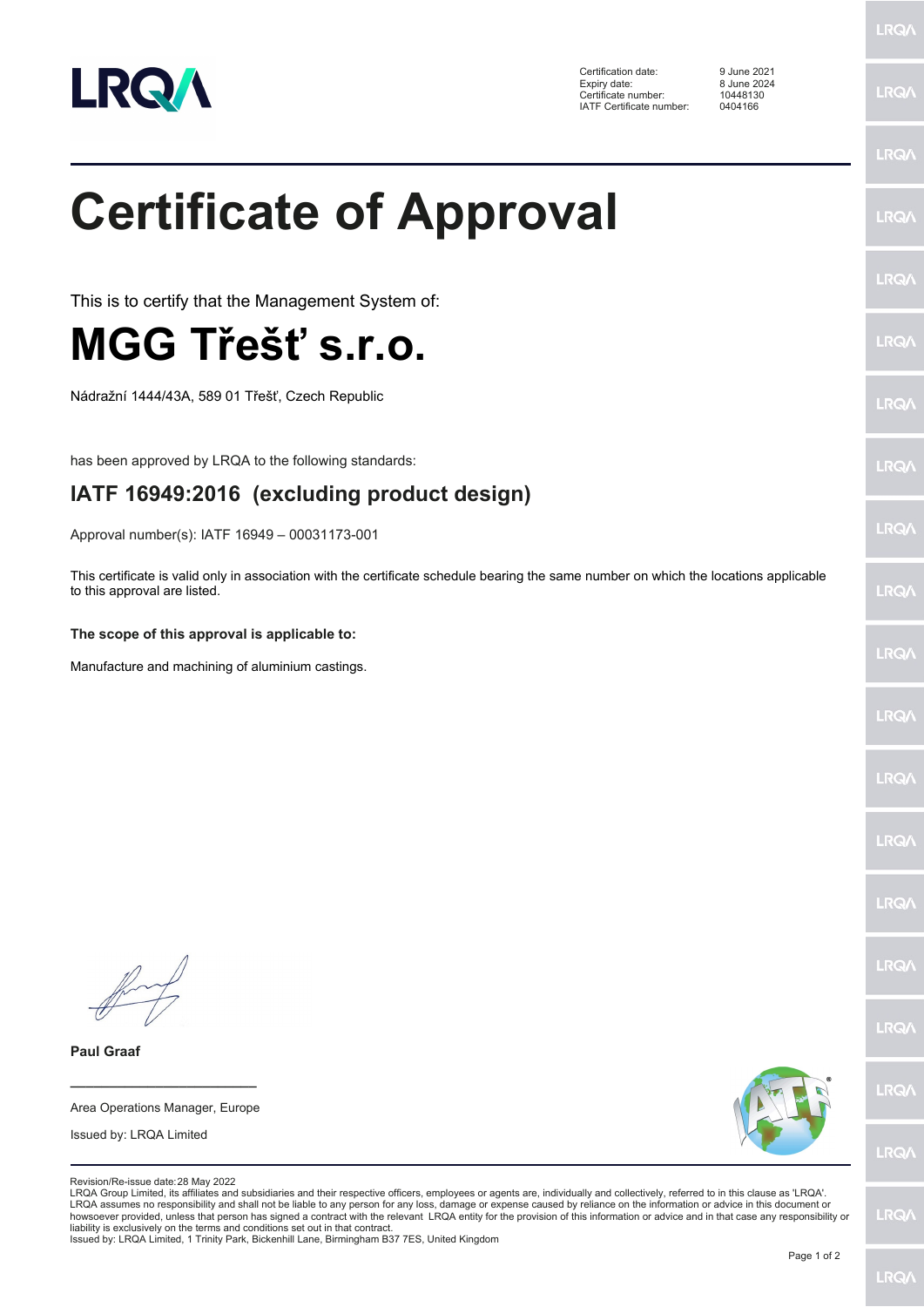

Certification date: 9 June 2021 Expiry date: 8 June 2024 Certificate number: 10448130 IATF Certificate number: 0404166

**LRQA** 

**LRQA** 

|                                                                                                                                                                                                                                                                                                                                                                                                                                                                                                                                                                                                                                                                            | <b>LRQA</b> |
|----------------------------------------------------------------------------------------------------------------------------------------------------------------------------------------------------------------------------------------------------------------------------------------------------------------------------------------------------------------------------------------------------------------------------------------------------------------------------------------------------------------------------------------------------------------------------------------------------------------------------------------------------------------------------|-------------|
| <b>Certificate of Approval</b>                                                                                                                                                                                                                                                                                                                                                                                                                                                                                                                                                                                                                                             | <b>LRQ/</b> |
| This is to certify that the Management System of:                                                                                                                                                                                                                                                                                                                                                                                                                                                                                                                                                                                                                          | <b>LRQ/</b> |
| MGG Třešť s.r.o.                                                                                                                                                                                                                                                                                                                                                                                                                                                                                                                                                                                                                                                           | <b>LRQ/</b> |
| Nádražní 1444/43A, 589 01 Třešť, Czech Republic                                                                                                                                                                                                                                                                                                                                                                                                                                                                                                                                                                                                                            | <b>LRQ/</b> |
| has been approved by LRQA to the following standards:                                                                                                                                                                                                                                                                                                                                                                                                                                                                                                                                                                                                                      | LRQ/        |
| IATF 16949:2016 (excluding product design)                                                                                                                                                                                                                                                                                                                                                                                                                                                                                                                                                                                                                                 |             |
| Approval number(s): IATF 16949 - 00031173-001                                                                                                                                                                                                                                                                                                                                                                                                                                                                                                                                                                                                                              | LRQ/        |
| This certificate is valid only in association with the certificate schedule bearing the same number on which the locations applicable<br>to this approval are listed.                                                                                                                                                                                                                                                                                                                                                                                                                                                                                                      | LRQ/        |
| The scope of this approval is applicable to:                                                                                                                                                                                                                                                                                                                                                                                                                                                                                                                                                                                                                               |             |
| Manufacture and machining of aluminium castings.                                                                                                                                                                                                                                                                                                                                                                                                                                                                                                                                                                                                                           | LRQ/        |
|                                                                                                                                                                                                                                                                                                                                                                                                                                                                                                                                                                                                                                                                            | <b>LRQ/</b> |
|                                                                                                                                                                                                                                                                                                                                                                                                                                                                                                                                                                                                                                                                            | LRQ/        |
|                                                                                                                                                                                                                                                                                                                                                                                                                                                                                                                                                                                                                                                                            | <b>LRQ/</b> |
|                                                                                                                                                                                                                                                                                                                                                                                                                                                                                                                                                                                                                                                                            | <b>LRQA</b> |
|                                                                                                                                                                                                                                                                                                                                                                                                                                                                                                                                                                                                                                                                            | <b>LRQA</b> |
|                                                                                                                                                                                                                                                                                                                                                                                                                                                                                                                                                                                                                                                                            | LRQ/        |
| <b>Paul Graaf</b>                                                                                                                                                                                                                                                                                                                                                                                                                                                                                                                                                                                                                                                          |             |
| Area Operations Manager, Europe                                                                                                                                                                                                                                                                                                                                                                                                                                                                                                                                                                                                                                            | LRQ/        |
| Issued by: LRQA Limited                                                                                                                                                                                                                                                                                                                                                                                                                                                                                                                                                                                                                                                    | <b>LRQ/</b> |
| Revision/Re-issue date: 28 May 2022<br>LRQA Group Limited, its affiliates and subsidiaries and their respective officers, employees or agents are, individually and collectively, referred to in this clause as 'LRQA'.<br>LRQA assumes no responsibility and shall not be liable to any person for any loss, damage or expense caused by reliance on the information or advice in this document or<br>howsoever provided, unless that person has signed a contract with the relevant LRQA entity for the provision of this information or advice and in that case any responsibility or<br>liability is exclusively on the terms and conditions set out in that contract. | <b>LRQA</b> |

liability is exclusively on the terms and conditions set out in that contract. Issued by: LRQA Limited, 1 Trinity Park, Bickenhill Lane, Birmingham B37 7ES, United Kingdom